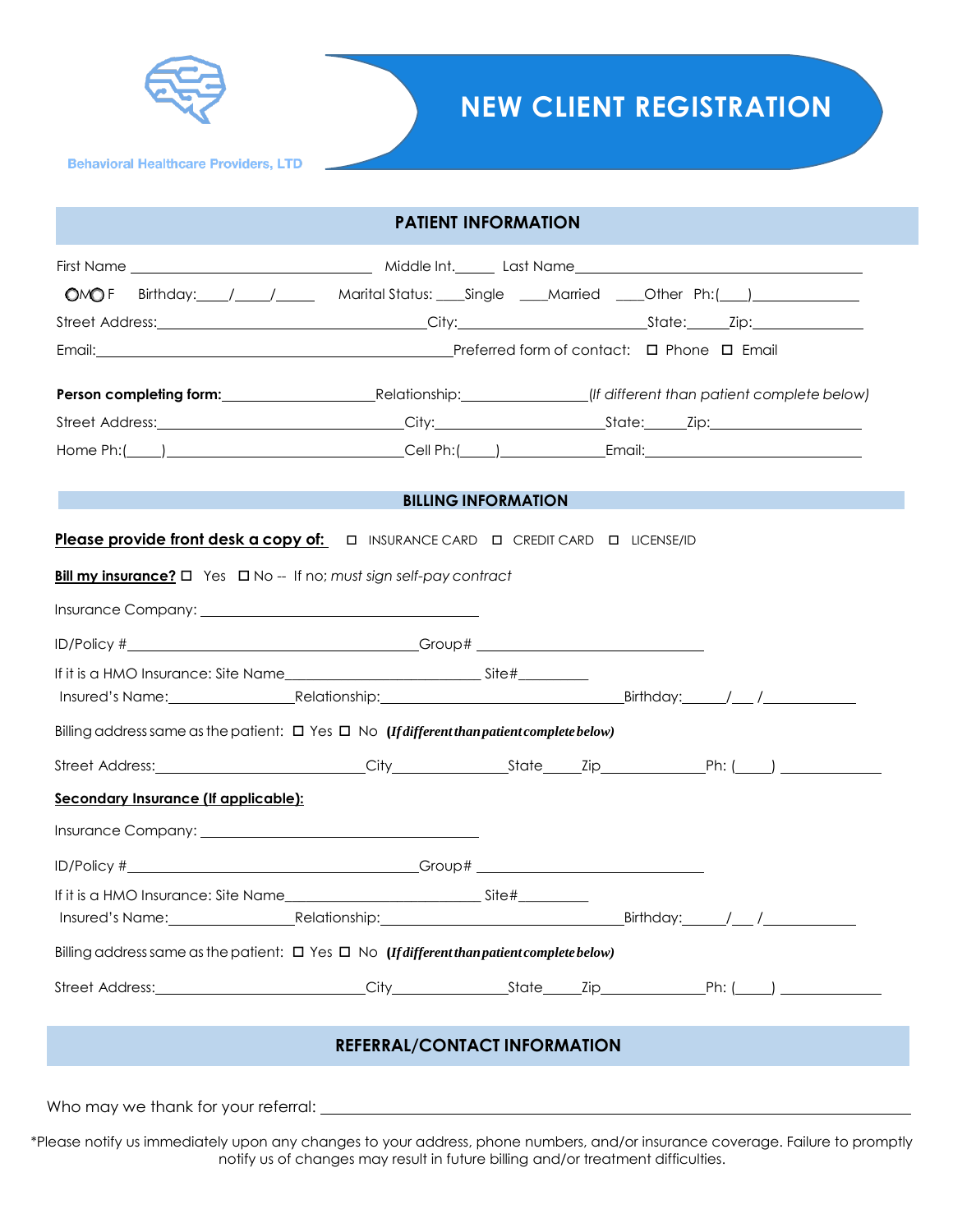

# **NEW CLIENT REGISTRATION**

**Behavioral Healthcare Providers, LTD** 

|                                      | OMOF Birthday: / / / Marital Status: Single / Married / Other Ph:( )                                                                                                               |
|--------------------------------------|------------------------------------------------------------------------------------------------------------------------------------------------------------------------------------|
|                                      |                                                                                                                                                                                    |
|                                      |                                                                                                                                                                                    |
|                                      |                                                                                                                                                                                    |
|                                      |                                                                                                                                                                                    |
|                                      |                                                                                                                                                                                    |
|                                      | <b>BILLING INFORMATION</b><br>$\mathcal{L}^{\text{max}}_{\text{max}}$ and $\mathcal{L}^{\text{max}}_{\text{max}}$ and $\mathcal{L}^{\text{max}}_{\text{max}}$<br><b>CONTRACTOR</b> |
|                                      | Please provide front desk a copy of:<br>$\square$ INSURANCE CARD $\square$ CREDIT CARD $\square$ LICENSE/ID                                                                        |
|                                      | Bill my insurance? $\square$ Yes $\square$ No -- If no; must sign self-pay contract                                                                                                |
|                                      |                                                                                                                                                                                    |
|                                      |                                                                                                                                                                                    |
|                                      |                                                                                                                                                                                    |
|                                      |                                                                                                                                                                                    |
|                                      |                                                                                                                                                                                    |
|                                      | Billing address same as the patient: $\Box$ Yes $\Box$ No (If different than patient complete below)                                                                               |
|                                      |                                                                                                                                                                                    |
| Secondary Insurance (If applicable): |                                                                                                                                                                                    |
|                                      |                                                                                                                                                                                    |
|                                      |                                                                                                                                                                                    |
|                                      |                                                                                                                                                                                    |
|                                      |                                                                                                                                                                                    |
|                                      | Billing address same as the patient: $\Box$ Yes $\Box$ No (If different than patient complete below)                                                                               |

\*Please notify us immediately upon any changes to your address, phone numbers, and/or insurance coverage. Failure to promptly notify us of changes may result in future billing and/or treatment difficulties.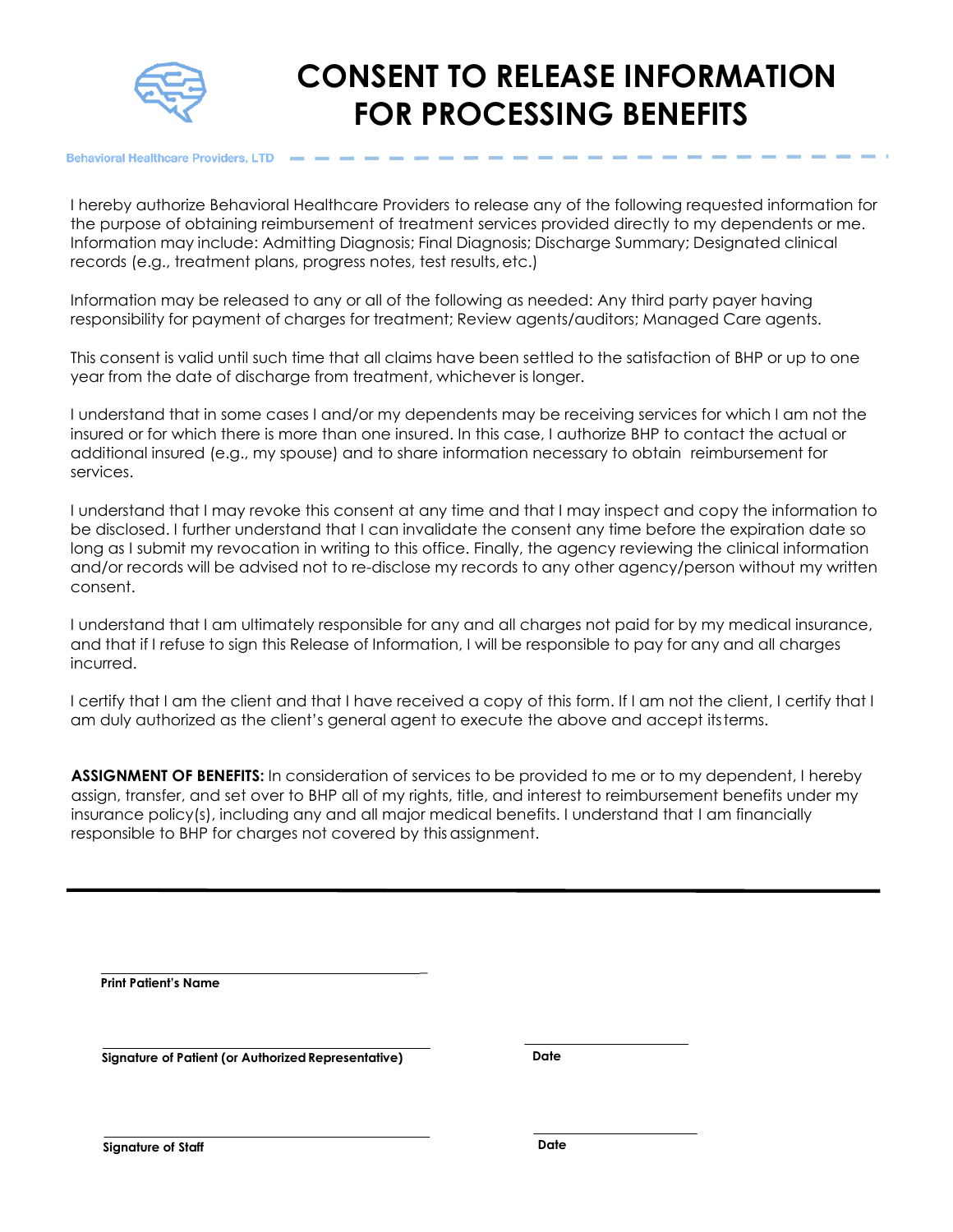

# **CONSENT TO RELEASE INFORMATION FOR PROCESSING BENEFITS**

**Behavioral Healthcare Providers, LTD** 

I hereby authorize Behavioral Healthcare Providers to release any of the following requested information for the purpose of obtaining reimbursement of treatment services provided directly to my dependents or me. Information may include: Admitting Diagnosis; Final Diagnosis; Discharge Summary; Designated clinical records (e.g., treatment plans, progress notes, test results, etc.)

Information may be released to any or all of the following as needed: Any third party payer having responsibility for payment of charges for treatment; Review agents/auditors; Managed Care agents.

This consent is valid until such time that all claims have been settled to the satisfaction of BHP or up to one year from the date of discharge from treatment, whichever is longer.

I understand that in some cases I and/or my dependents may be receiving services for which I am not the insured or for which there is more than one insured. In this case, I authorize BHP to contact the actual or additional insured (e.g., my spouse) and to share information necessary to obtain reimbursement for services.

I understand that I may revoke this consent at any time and that I may inspect and copy the information to be disclosed. I further understand that I can invalidate the consent any time before the expiration date so long as I submit my revocation in writing to this office. Finally, the agency reviewing the clinical information and/or records will be advised not to re-disclose my records to any other agency/person without my written consent.

I understand that I am ultimately responsible for any and all charges not paid for by my medical insurance, and that if I refuse to sign this Release of Information, I will be responsible to pay for any and all charges incurred.

I certify that I am the client and that I have received a copy of this form. If I am not the client, I certify that I am duly authorized as the client's general agent to execute the above and accept itsterms.

**ASSIGNMENT OF BENEFITS:** In consideration of services to be provided to me or to my dependent, I hereby assign, transfer, and set over to BHP all of my rights, title, and interest to reimbursement benefits under my insurance policy(s), including any and all major medical benefits. I understand that I am financially responsible to BHP for charges not covered by this assignment.

\_

**Print Patient's Name**

**Signature of Patient (or AuthorizedRepresentative) Date**

**Signature of Staff Date**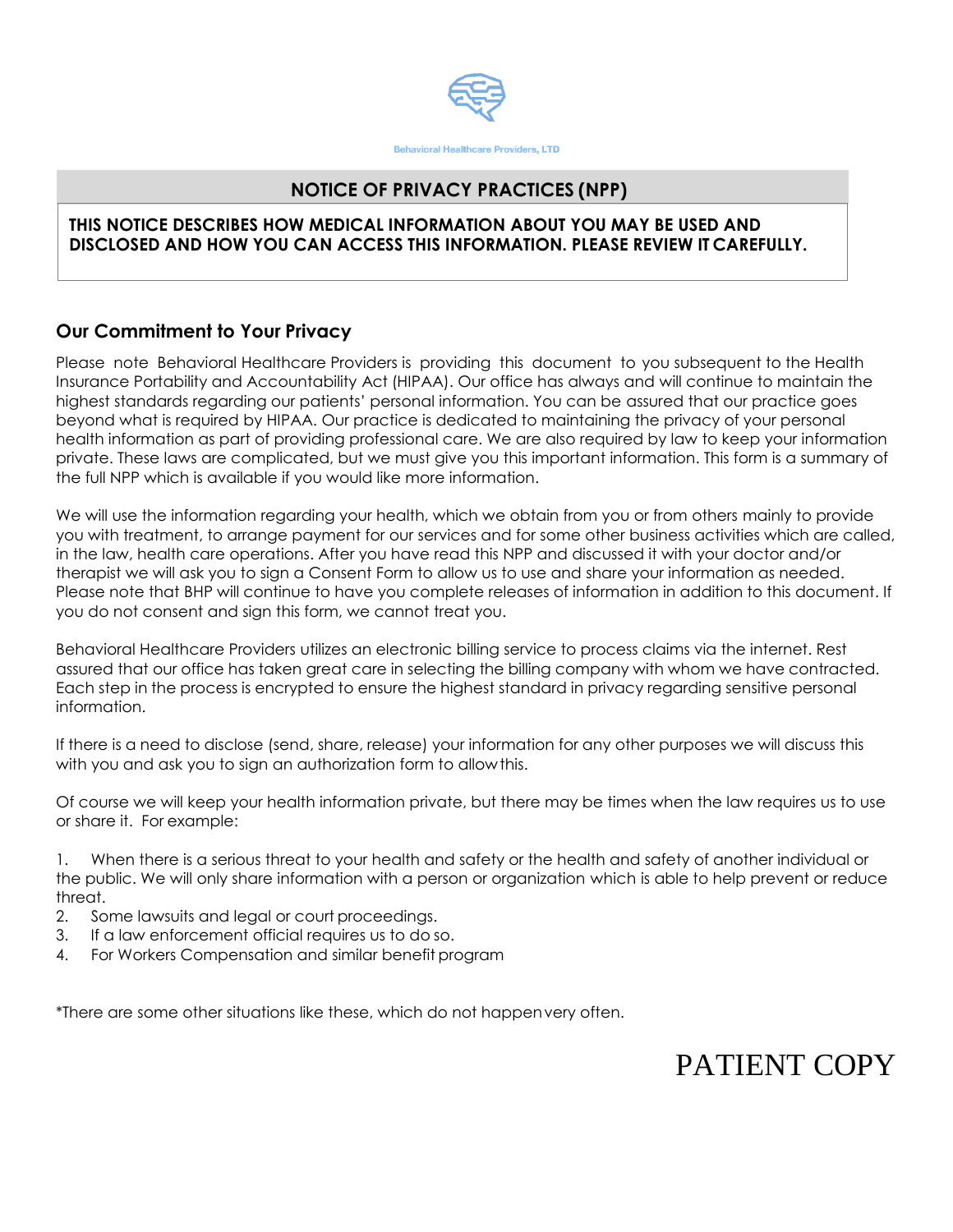

### **NOTICE OF PRIVACY PRACTICES (NPP)**

### **THIS NOTICE DESCRIBES HOW MEDICAL INFORMATION ABOUT YOU MAY BE USED AND DISCLOSED AND HOW YOU CAN ACCESS THIS INFORMATION. PLEASE REVIEW IT CAREFULLY.**

### **Our Commitment to Your Privacy**

Please note Behavioral Healthcare Providers is providing this document to you subsequent to the Health Insurance Portability and Accountability Act (HIPAA). Our office has always and will continue to maintain the highest standards regarding our patients' personal information. You can be assured that our practice goes beyond what is required by HIPAA. Our practice is dedicated to maintaining the privacy of your personal health information as part of providing professional care. We are also required by law to keep your information private. These laws are complicated, but we must give you this important information. This form is a summary of the full NPP which is available if you would like more information.

We will use the information regarding your health, which we obtain from you or from others mainly to provide you with treatment, to arrange payment for our services and for some other business activities which are called, in the law, health care operations. After you have read this NPP and discussed it with your doctor and/or therapist we will ask you to sign a Consent Form to allow us to use and share your information as needed. Please note that BHP will continue to have you complete releases of information in addition to this document. If you do not consent and sign this form, we cannot treat you.

Behavioral Healthcare Providers utilizes an electronic billing service to process claims via the internet. Rest assured that our office has taken great care in selecting the billing company with whom we have contracted. Each step in the process is encrypted to ensure the highest standard in privacy regarding sensitive personal information.

If there is a need to disclose (send, share, release) your information for any other purposes we will discuss this with you and ask you to sign an authorization form to allowthis.

Of course we will keep your health information private, but there may be times when the law requires us to use or share it. For example:

1. When there is a serious threat to your health and safety or the health and safety of another individual or the public. We will only share information with a person or organization which is able to help prevent or reduce threat.

- 2. Some lawsuits and legal or court proceedings.
- 3. If a law enforcement official requires us to do so.
- 4. For Workers Compensation and similar benefit program

\*There are some other situations like these, which do not happenvery often.

# PATIENT COPY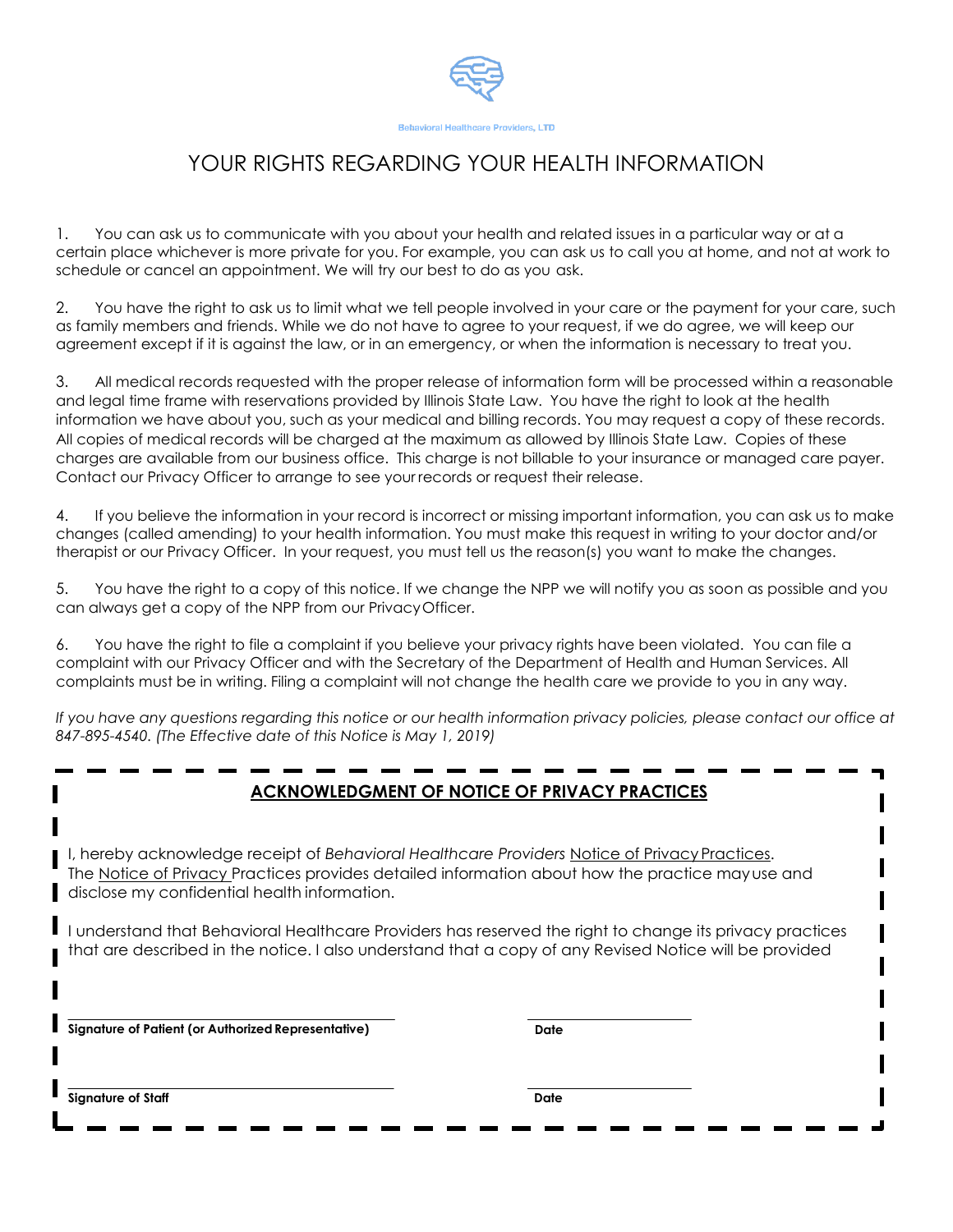

# YOUR RIGHTS REGARDING YOUR HEALTH INFORMATION

1. You can ask us to communicate with you about your health and related issues in a particular way or at a certain place whichever is more private for you. For example, you can ask us to call you at home, and not at work to schedule or cancel an appointment. We will try our best to do as you ask.

2. You have the right to ask us to limit what we tell people involved in your care or the payment for your care, such as family members and friends. While we do not have to agree to your request, if we do agree, we will keep our agreement except if it is against the law, or in an emergency, or when the information is necessary to treat you.

3. All medical records requested with the proper release of information form will be processed within a reasonable and legal time frame with reservations provided by Illinois State Law. You have the right to look at the health information we have about you, such as your medical and billing records. You may request a copy of these records. All copies of medical records will be charged at the maximum as allowed by Illinois State Law. Copies of these charges are available from our business office. This charge is not billable to your insurance or managed care payer. Contact our Privacy Officer to arrange to see your records or request their release.

4. If you believe the information in your record is incorrect or missing important information, you can ask us to make changes (called amending) to your health information. You must make this request in writing to your doctor and/or therapist or our Privacy Officer. In your request, you must tell us the reason(s) you want to make the changes.

5. You have the right to a copy of this notice. If we change the NPP we will notify you as soon as possible and you can always get a copy of the NPP from our PrivacyOfficer.

6. You have the right to file a complaint if you believe your privacy rights have been violated. You can file a complaint with our Privacy Officer and with the Secretary of the Department of Health and Human Services. All complaints must be in writing. Filing a complaint will not change the health care we provide to you in any way.

*If you have any questions regarding this notice or our health information privacy policies, please contact our office at 847-895-4540. (The Effective date of this Notice is May 1, 2019)*

## **ACKNOWLEDGMENT OF NOTICE OF PRIVACY PRACTICES**

I, hereby acknowledge receipt of *Behavioral Healthcare Providers* Notice of Privacy Practices. The Notice of Privacy Practices provides detailed information about how the practice mayuse and disclose my confidential health information.

I understand that Behavioral Healthcare Providers has reserved the right to change its privacy practices that are described in the notice. I also understand that a copy of any Revised Notice will be provided

**Signature of Patient (or Authorized Representative)** 

**Date**

**Signature of Staff**

**Date**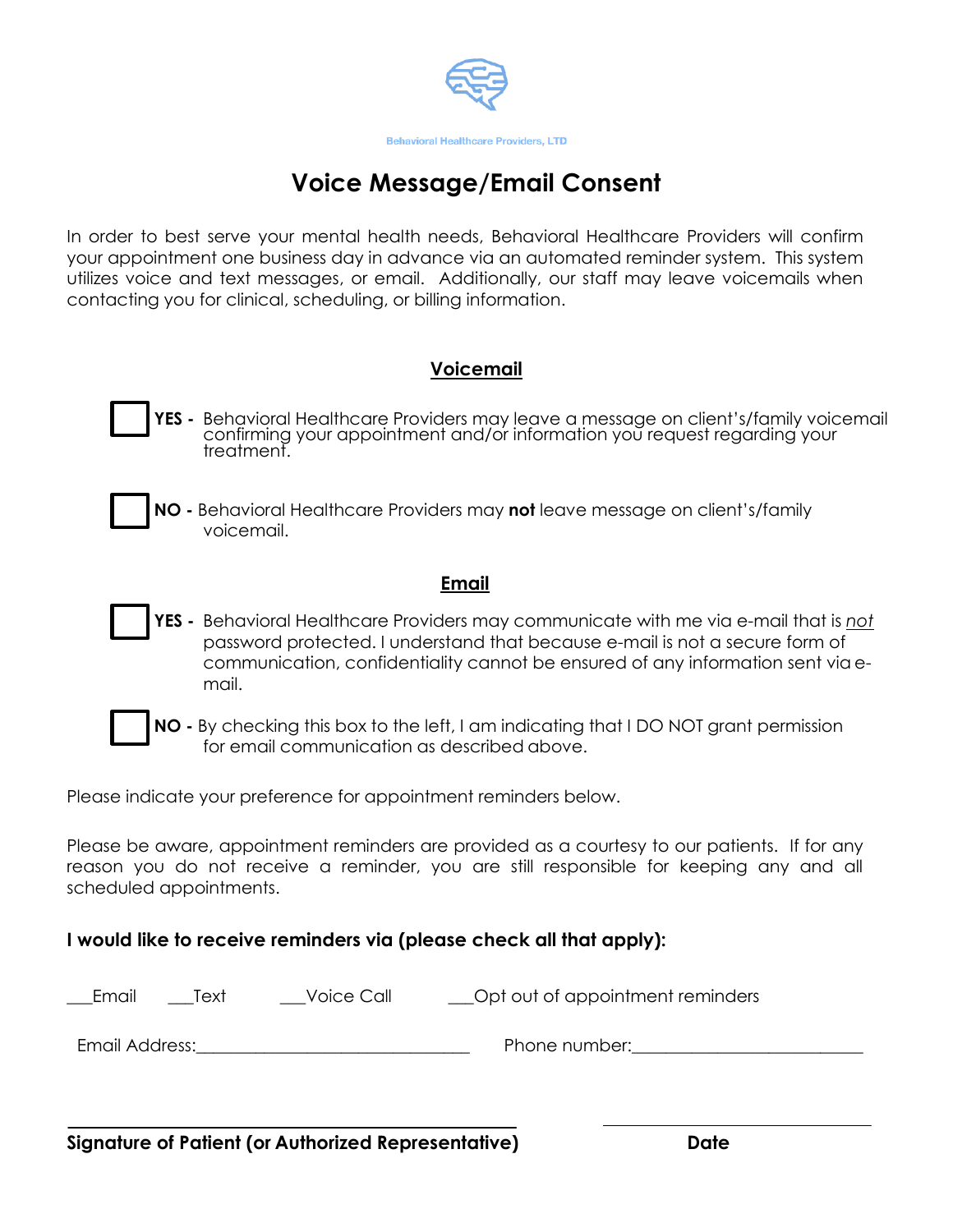

# **Voice Message/Email Consent**

In order to best serve your mental health needs, Behavioral Healthcare Providers will confirm your appointment one business day in advance via an automated reminder system. This system utilizes voice and text messages, or email. Additionally, our staff may leave voicemails when contacting you for clinical, scheduling, or billing information.

## **Voicemail**

- **YES -** Behavioral Healthcare Providers may leave a message on client's/family voicemail confirming your appointment and/or information you request regarding your treatment.
- **NO -** Behavioral Healthcare Providers may **not** leave message on client's/family voicemail.

### **Email**

- **YES -** Behavioral Healthcare Providers may communicate with me via e-mail that is *not* password protected. I understand that because e-mail is not a secure form of communication, confidentiality cannot be ensured of any information sent via email.
- - **NO -** By checking this box to the left, I am indicating that I DO NOT grant permission for email communication as described above.

Please indicate your preference for appointment reminders below.

Please be aware, appointment reminders are provided as a courtesy to our patients. If for any reason you do not receive a reminder, you are still responsible for keeping any and all scheduled appointments.

## **I would like to receive reminders via (please check all that apply):**

| Email          | Text | Voice Call | __Opt out of appointment reminders |
|----------------|------|------------|------------------------------------|
| Email Address: |      |            | Phone number:                      |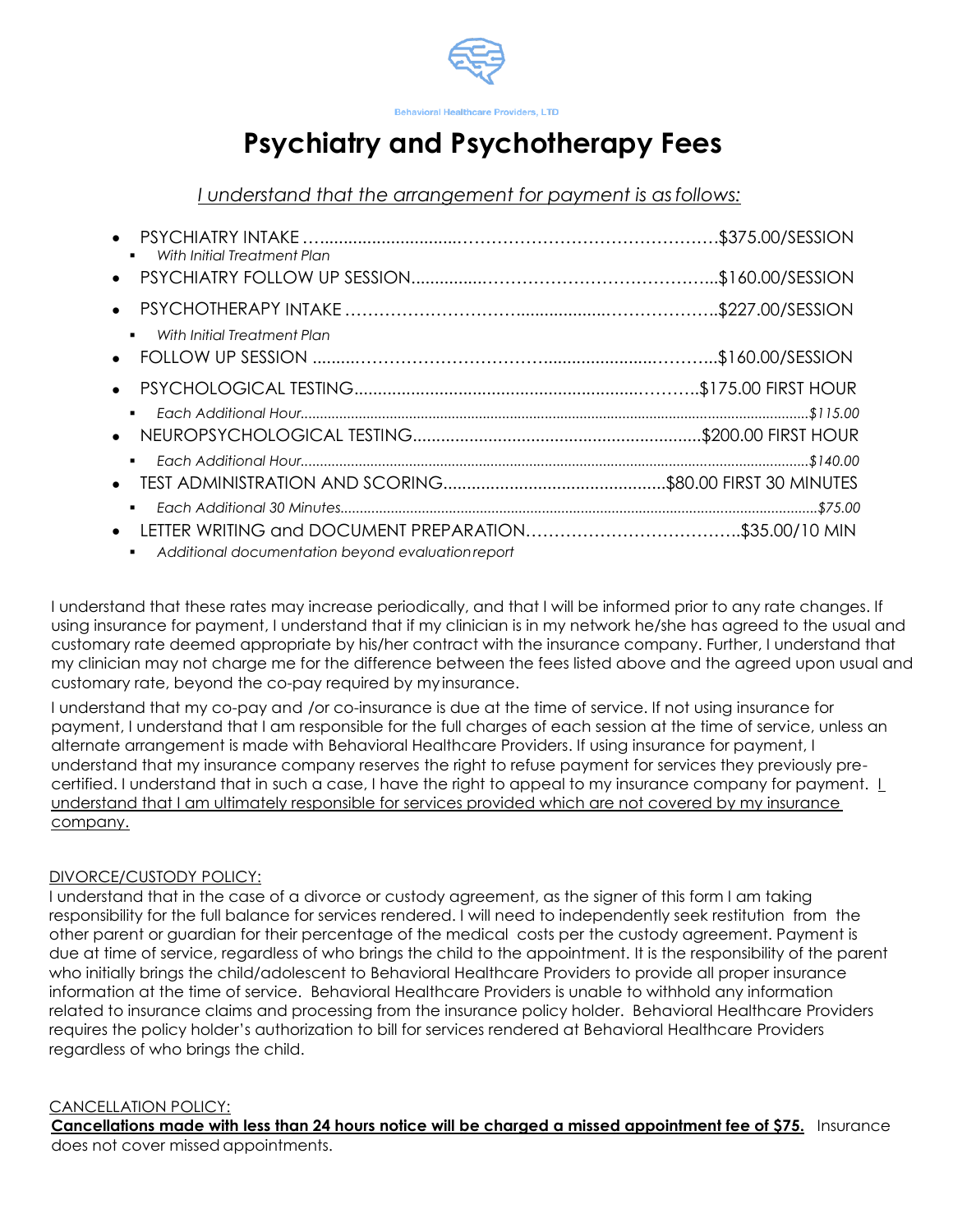

#### **Behavioral Healthcare Providers, LTD**

# **Psychiatry and Psychotherapy Fees**

*I understand that the arrangement for payment is asfollows:*

| With Initial Treatment Plan                                    |  |
|----------------------------------------------------------------|--|
|                                                                |  |
| $\bullet$                                                      |  |
| With Initial Treatment Plan<br>$\blacksquare$                  |  |
|                                                                |  |
| $\blacksquare$                                                 |  |
| ٠.                                                             |  |
| $\blacksquare$                                                 |  |
| $\bullet$<br>Additional documentation beyond evaluation report |  |

I understand that these rates may increase periodically, and that I will be informed prior to any rate changes. If using insurance for payment, I understand that if my clinician is in my network he/she has agreed to the usual and customary rate deemed appropriate by his/her contract with the insurance company. Further, I understand that my clinician may not charge me for the difference between the fees listed above and the agreed upon usual and customary rate, beyond the co-pay required by my insurance.

I understand that my co-pay and /or co-insurance is due at the time of service. If not using insurance for payment, I understand that I am responsible for the full charges of each session at the time of service, unless an alternate arrangement is made with Behavioral Healthcare Providers. If using insurance for payment, I understand that my insurance company reserves the right to refuse payment for services they previously precertified. I understand that in such a case, I have the right to appeal to my insurance company for payment. I understand that I am ultimately responsible for services provided which are not covered by my insurance company.

### DIVORCE/CUSTODY POLICY:

I understand that in the case of a divorce or custody agreement, as the signer of this form I am taking responsibility for the full balance for services rendered. I will need to independently seek restitution from the other parent or guardian for their percentage of the medical costs per the custody agreement. Payment is due at time of service, regardless of who brings the child to the appointment. It is the responsibility of the parent who initially brings the child/adolescent to Behavioral Healthcare Providers to provide all proper insurance information at the time of service. Behavioral Healthcare Providers is unable to withhold any information related to insurance claims and processing from the insurance policy holder. Behavioral Healthcare Providers requires the policy holder's authorization to bill for services rendered at Behavioral Healthcare Providers regardless of who brings the child.

#### CANCELLATION POLICY:

**Cancellations made with less than 24 hours notice will be charged a missed appointment fee of \$75.** Insurance does not cover missed appointments.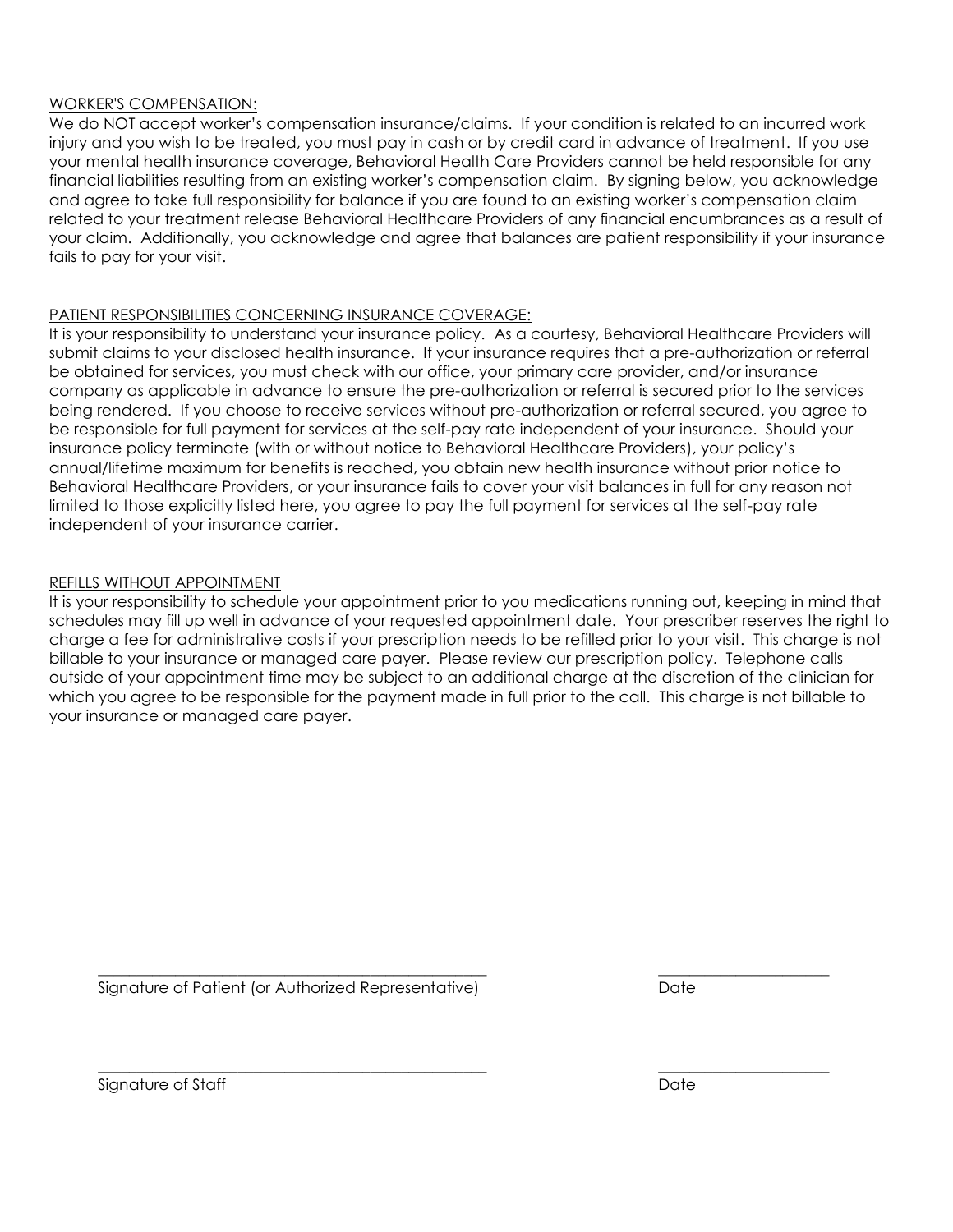#### WORKER'S COMPENSATION:

We do NOT accept worker's compensation insurance/claims. If your condition is related to an incurred work injury and you wish to be treated, you must pay in cash or by credit card in advance of treatment. If you use your mental health insurance coverage, Behavioral Health Care Providers cannot be held responsible for any financial liabilities resulting from an existing worker's compensation claim. By signing below, you acknowledge and agree to take full responsibility for balance if you are found to an existing worker's compensation claim related to your treatment release Behavioral Healthcare Providers of any financial encumbrances as a result of your claim. Additionally, you acknowledge and agree that balances are patient responsibility if your insurance fails to pay for your visit.

### PATIENT RESPONSIBILITIES CONCERNING INSURANCE COVERAGE:

It is your responsibility to understand your insurance policy. As a courtesy, Behavioral Healthcare Providers will submit claims to your disclosed health insurance. If your insurance requires that a pre-authorization or referral be obtained for services, you must check with our office, your primary care provider, and/or insurance company as applicable in advance to ensure the pre-authorization or referral is secured prior to the services being rendered. If you choose to receive services without pre-authorization or referral secured, you agree to be responsible for full payment for services at the self-pay rate independent of your insurance. Should your insurance policy terminate (with or without notice to Behavioral Healthcare Providers), your policy's annual/lifetime maximum for benefits is reached, you obtain new health insurance without prior notice to Behavioral Healthcare Providers, or your insurance fails to cover your visit balances in full for any reason not limited to those explicitly listed here, you agree to pay the full payment for services at the self-pay rate independent of your insurance carrier.

### REFILLS WITHOUT APPOINTMENT

It is your responsibility to schedule your appointment prior to you medications running out, keeping in mind that schedules may fill up well in advance of your requested appointment date. Your prescriber reserves the right to charge a fee for administrative costs if your prescription needs to be refilled prior to your visit. This charge is not billable to your insurance or managed care payer. Please review our prescription policy. Telephone calls outside of your appointment time may be subject to an additional charge at the discretion of the clinician for which you agree to be responsible for the payment made in full prior to the call. This charge is not billable to your insurance or managed care payer.

 $\frac{1}{2}$  ,  $\frac{1}{2}$  ,  $\frac{1}{2}$  ,  $\frac{1}{2}$  ,  $\frac{1}{2}$  ,  $\frac{1}{2}$  ,  $\frac{1}{2}$  ,  $\frac{1}{2}$  ,  $\frac{1}{2}$  ,  $\frac{1}{2}$  ,  $\frac{1}{2}$  ,  $\frac{1}{2}$  ,  $\frac{1}{2}$  ,  $\frac{1}{2}$  ,  $\frac{1}{2}$  ,  $\frac{1}{2}$  ,  $\frac{1}{2}$  ,  $\frac{1}{2}$  ,  $\frac{1$ 

 $\frac{1}{2}$  ,  $\frac{1}{2}$  ,  $\frac{1}{2}$  ,  $\frac{1}{2}$  ,  $\frac{1}{2}$  ,  $\frac{1}{2}$  ,  $\frac{1}{2}$  ,  $\frac{1}{2}$  ,  $\frac{1}{2}$  ,  $\frac{1}{2}$  ,  $\frac{1}{2}$  ,  $\frac{1}{2}$  ,  $\frac{1}{2}$  ,  $\frac{1}{2}$  ,  $\frac{1}{2}$  ,  $\frac{1}{2}$  ,  $\frac{1}{2}$  ,  $\frac{1}{2}$  ,  $\frac{1$ 

Signature of Patient (or Authorized Representative) Date

Signature of Staff Date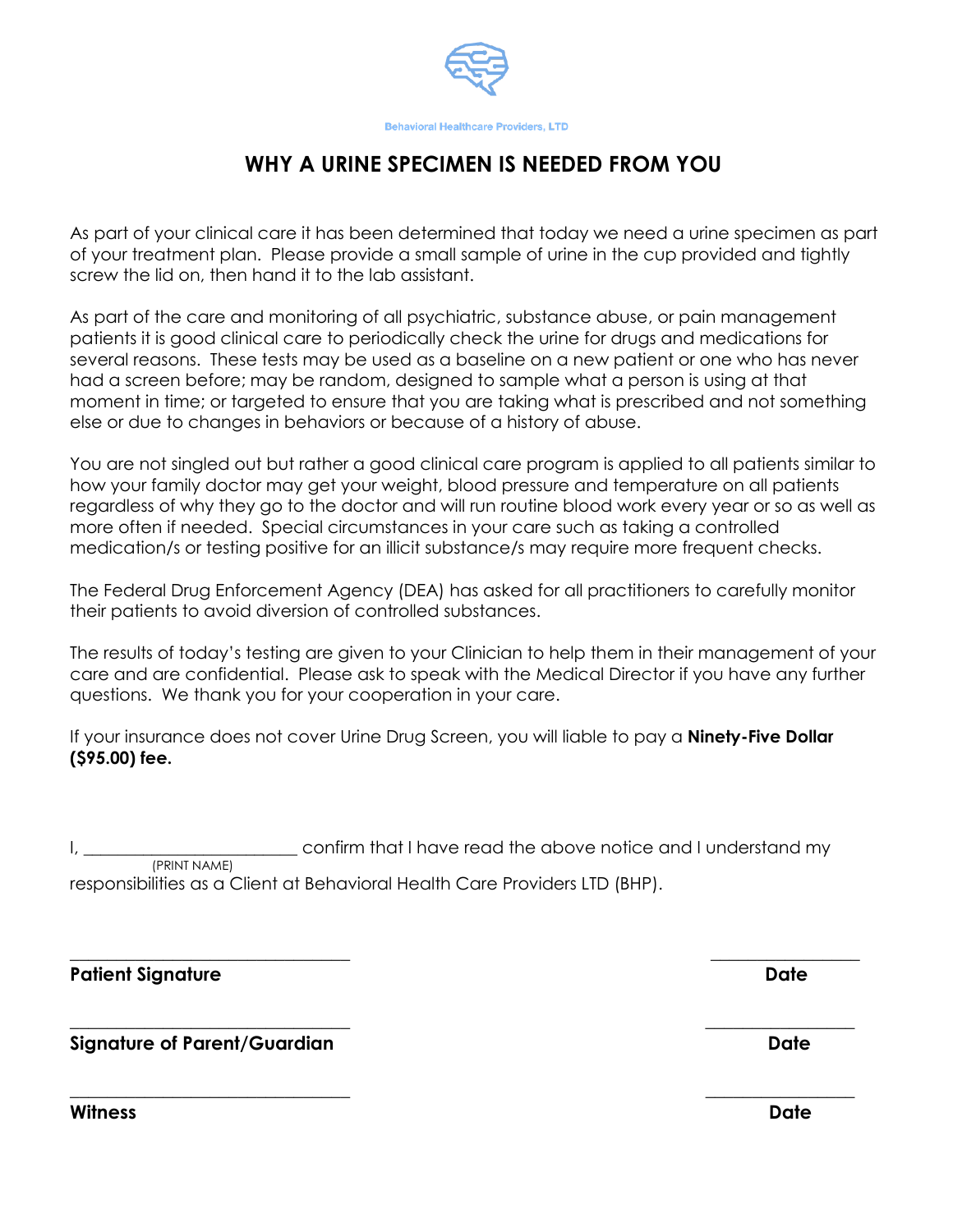

# **WHY A URINE SPECIMEN IS NEEDED FROM YOU**

As part of your clinical care it has been determined that today we need a urine specimen as part of your treatment plan. Please provide a small sample of urine in the cup provided and tightly screw the lid on, then hand it to the lab assistant.

As part of the care and monitoring of all psychiatric, substance abuse, or pain management patients it is good clinical care to periodically check the urine for drugs and medications for several reasons. These tests may be used as a baseline on a new patient or one who has never had a screen before; may be random, designed to sample what a person is using at that moment in time; or targeted to ensure that you are taking what is prescribed and not something else or due to changes in behaviors or because of a history of abuse.

You are not singled out but rather a good clinical care program is applied to all patients similar to how your family doctor may get your weight, blood pressure and temperature on all patients regardless of why they go to the doctor and will run routine blood work every year or so as well as more often if needed. Special circumstances in your care such as taking a controlled medication/s or testing positive for an illicit substance/s may require more frequent checks.

The Federal Drug Enforcement Agency (DEA) has asked for all practitioners to carefully monitor their patients to avoid diversion of controlled substances.

The results of today's testing are given to your Clinician to help them in their management of your care and are confidential. Please ask to speak with the Medical Director if you have any further questions. We thank you for your cooperation in your care.

If your insurance does not cover Urine Drug Screen, you will liable to pay a **Ninety-Five Dollar (\$95.00) fee.**

confirm that I have read the above notice and I understand my (PRINT NAME)

**\_\_\_\_\_\_\_\_\_\_\_\_\_\_\_\_\_\_\_\_\_\_\_\_\_\_\_\_\_\_ \_\_\_\_\_\_\_\_\_\_\_\_\_\_\_\_**

**\_\_\_\_\_\_\_\_\_\_\_\_\_\_\_\_\_\_\_\_\_\_\_\_\_\_\_\_\_\_ \_\_\_\_\_\_\_\_\_\_\_\_\_\_\_\_**

**\_\_\_\_\_\_\_\_\_\_\_\_\_\_\_\_\_\_\_\_\_\_\_\_\_\_\_\_\_\_ \_\_\_\_\_\_\_\_\_\_\_\_\_\_\_\_**

responsibilities as a Client at Behavioral Health Care Providers LTD (BHP).

Patient Signature **Date** 

**Signature of Parent/Guardian Date** 

**Witness Date**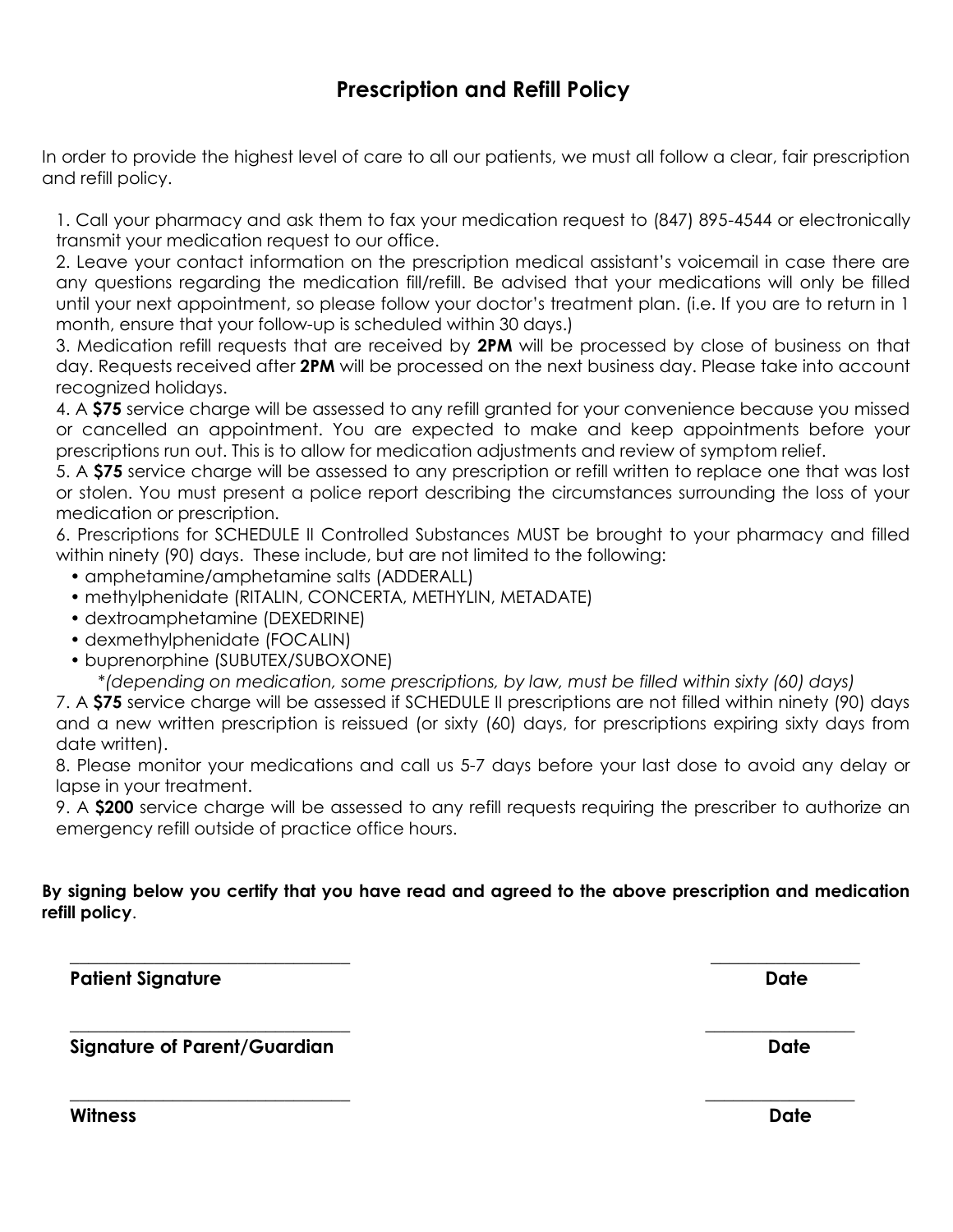## **Prescription and Refill Policy**

In order to provide the highest level of care to all our patients, we must all follow a clear, fair prescription and refill policy.

1. Call your pharmacy and ask them to fax your medication request to (847) 895-4544 or electronically transmit your medication request to our office.

2. Leave your contact information on the prescription medical assistant's voicemail in case there are any questions regarding the medication fill/refill. Be advised that your medications will only be filled until your next appointment, so please follow your doctor's treatment plan. (i.e. If you are to return in 1 month, ensure that your follow-up is scheduled within 30 days.)

3. Medication refill requests that are received by **2PM** will be processed by close of business on that day. Requests received after **2PM** will be processed on the next business day. Please take into account recognized holidays.

4. A **\$75** service charge will be assessed to any refill granted for your convenience because you missed or cancelled an appointment. You are expected to make and keep appointments before your prescriptions run out. This is to allow for medication adjustments and review of symptom relief.

5. A **\$75** service charge will be assessed to any prescription or refill written to replace one that was lost or stolen. You must present a police report describing the circumstances surrounding the loss of your medication or prescription.

6. Prescriptions for SCHEDULE II Controlled Substances MUST be brought to your pharmacy and filled within ninety (90) days. These include, but are not limited to the following:

- amphetamine/amphetamine salts (ADDERALL)
- methylphenidate (RITALIN, CONCERTA, METHYLIN, METADATE)
- dextroamphetamine (DEXEDRINE)
- dexmethylphenidate (FOCALIN)
- buprenorphine (SUBUTEX/SUBOXONE)

\**(depending on medication, some prescriptions, by law, must be filled within sixty (60) days)*

7. A **\$75** service charge will be assessed if SCHEDULE II prescriptions are not filled within ninety (90) days and a new written prescription is reissued (or sixty (60) days, for prescriptions expiring sixty days from date written).

8. Please monitor your medications and call us 5-7 days before your last dose to avoid any delay or lapse in your treatment.

9. A **\$200** service charge will be assessed to any refill requests requiring the prescriber to authorize an emergency refill outside of practice office hours.

### **By signing below you certify that you have read and agreed to the above prescription and medication refill policy**.

**\_\_\_\_\_\_\_\_\_\_\_\_\_\_\_\_\_\_\_\_\_\_\_\_\_\_\_\_\_\_ \_\_\_\_\_\_\_\_\_\_\_\_\_\_\_\_**

**\_\_\_\_\_\_\_\_\_\_\_\_\_\_\_\_\_\_\_\_\_\_\_\_\_\_\_\_\_\_ \_\_\_\_\_\_\_\_\_\_\_\_\_\_\_\_**

Patient Signature **Date** 

**Signature of Parent/Guardian Date** 

**Witness Date**

**\_\_\_\_\_\_\_\_\_\_\_\_\_\_\_\_\_\_\_\_\_\_\_\_\_\_\_\_\_\_ \_\_\_\_\_\_\_\_\_\_\_\_\_\_\_\_**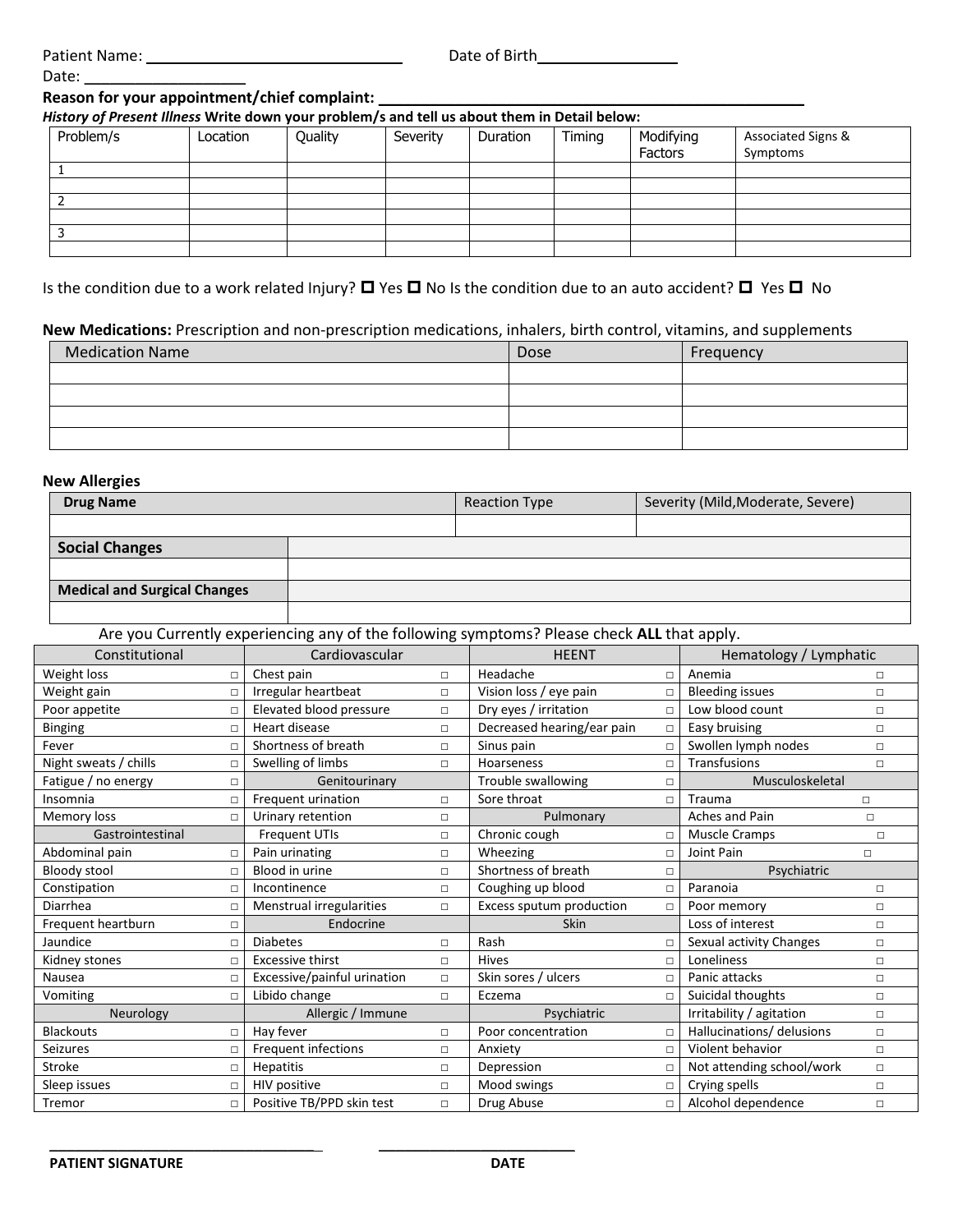| <b>Patient Name:</b> |
|----------------------|
|----------------------|

Date:

Patient Name: \_\_\_\_\_\_\_\_\_\_\_\_\_\_\_\_\_\_\_\_\_\_\_\_\_\_\_\_\_\_ Date of Birth\_\_\_\_\_\_\_\_\_\_\_\_\_\_\_\_

#### **Reason for your appointment/chief complaint: \_\_\_\_\_\_\_\_\_\_\_\_\_\_\_\_\_\_\_\_\_\_\_\_\_\_\_\_\_\_\_\_\_\_\_\_\_\_\_\_\_\_\_\_\_\_\_\_\_\_**

*History of Present Illness* **Write down your problem/s and tell us about them in Detail below:**

| Problem/s | Location | Quality | Severity | Duration | Timing | Modifying<br>Factors | Associated Signs &<br>Symptoms |  |
|-----------|----------|---------|----------|----------|--------|----------------------|--------------------------------|--|
|           |          |         |          |          |        |                      |                                |  |
|           |          |         |          |          |        |                      |                                |  |
|           |          |         |          |          |        |                      |                                |  |
|           |          |         |          |          |        |                      |                                |  |
|           |          |         |          |          |        |                      |                                |  |
|           |          |         |          |          |        |                      |                                |  |

Is the condition due to a work related Injury?  $\Box$  Yes  $\Box$  No Is the condition due to an auto accident?  $\Box$  Yes  $\Box$  No

#### **New Medications:** Prescription and non-prescription medications, inhalers, birth control, vitamins, and supplements

| <b>Medication Name</b> | Dose | Frequency |  |  |
|------------------------|------|-----------|--|--|
|                        |      |           |  |  |
|                        |      |           |  |  |
|                        |      |           |  |  |
|                        |      |           |  |  |

#### **New Allergies**

| <b>Drug Name</b>             | <b>Reaction Type</b> | Severity (Mild, Moderate, Severe) |
|------------------------------|----------------------|-----------------------------------|
|                              |                      |                                   |
| <b>Social Changes</b>        |                      |                                   |
|                              |                      |                                   |
| Medical and Surgical Changes |                      |                                   |
|                              |                      |                                   |

### Are you Currently experiencing any of the following symptoms? Please check **ALL** that apply.

| Constitutional        |        | Cardiovascular              |                                    | <b>HEENT</b>                  |                 | Hematology / Lymphatic    |        |
|-----------------------|--------|-----------------------------|------------------------------------|-------------------------------|-----------------|---------------------------|--------|
| Weight loss           | п      | Chest pain                  | $\Box$                             | Headache<br>П                 |                 | Anemia                    | П      |
| Weight gain           | П      | Irregular heartbeat         | $\Box$                             | Vision loss / eye pain        | П               | <b>Bleeding issues</b>    | $\Box$ |
| Poor appetite         | □      | Elevated blood pressure     | $\Box$                             | Dry eyes / irritation         | $\Box$          | Low blood count           | $\Box$ |
| <b>Binging</b>        | П      | Heart disease               | $\Box$                             | Decreased hearing/ear pain    | $\Box$          | Easy bruising             | $\Box$ |
| Fever                 |        | Shortness of breath         | $\Box$                             | Sinus pain                    | $\Box$          | Swollen lymph nodes       | $\Box$ |
| Night sweats / chills | п      | Swelling of limbs           | $\Box$                             | Hoarseness                    |                 | Transfusions              | $\Box$ |
| Fatigue / no energy   | $\Box$ | Genitourinary               | Trouble swallowing<br>П            |                               | Musculoskeletal |                           |        |
| Insomnia              | п      | Frequent urination          | $\Box$                             | Sore throat                   | П               | <b>Trauma</b>             | $\Box$ |
| Memory loss           | П      | Urinary retention           | $\Box$                             | Pulmonary                     |                 | Aches and Pain<br>$\Box$  |        |
| Gastrointestinal      |        | <b>Frequent UTIs</b>        | $\Box$                             | Chronic cough                 | $\Box$          | Muscle Cramps<br>$\Box$   |        |
| Abdominal pain        | п      | Pain urinating              | $\Box$                             | Wheezing                      | П               | Joint Pain                | п      |
| <b>Bloody stool</b>   | $\Box$ | Blood in urine              | $\Box$                             | Shortness of breath<br>$\Box$ |                 | Psychiatric               |        |
| Constipation          |        | Incontinence                | $\Box$                             | Coughing up blood<br>Л        |                 | Paranoia                  | $\Box$ |
| Diarrhea              |        | Menstrual irregularities    | Excess sputum production<br>$\Box$ |                               | П               | Poor memory               | $\Box$ |
| Frequent heartburn    | п      | Endocrine                   |                                    | Skin                          |                 | Loss of interest          | $\Box$ |
| Jaundice              | п      | <b>Diabetes</b>             | $\Box$                             | Rash                          | $\Box$          | Sexual activity Changes   | $\Box$ |
| Kidney stones         | п      | <b>Excessive thirst</b>     | $\Box$                             | <b>Hives</b>                  | $\Box$          | Loneliness                | $\Box$ |
| Nausea                | п      | Excessive/painful urination | $\Box$                             | Skin sores / ulcers<br>$\Box$ |                 | Panic attacks             | $\Box$ |
| Vomiting              | $\Box$ | Libido change               | $\Box$                             | Eczema                        | $\Box$          | Suicidal thoughts         | $\Box$ |
| Neurology             |        | Allergic / Immune           |                                    | Psychiatric                   |                 | Irritability / agitation  | $\Box$ |
| <b>Blackouts</b>      | $\Box$ | Hay fever                   | $\Box$                             | Poor concentration            | $\Box$          | Hallucinations/ delusions | $\Box$ |
| <b>Seizures</b>       |        | Frequent infections         | $\Box$                             | Anxiety                       | $\Box$          | Violent behavior          | $\Box$ |
| Stroke                |        | Hepatitis                   | $\Box$                             | Depression<br>$\Box$          |                 | Not attending school/work | $\Box$ |
| Sleep issues          | п      | HIV positive                | $\Box$                             | Mood swings                   | $\Box$          | Crying spells             | $\Box$ |
| Tremor                | П      | Positive TB/PPD skin test   | $\Box$                             | Drug Abuse                    | $\Box$          | Alcohol dependence        | $\Box$ |

\_\_\_\_\_\_\_\_\_\_\_\_\_\_\_\_\_\_\_\_\_\_\_\_\_\_\_\_\_\_\_ \_\_\_\_\_\_\_\_\_\_\_\_\_\_\_\_\_\_\_\_\_\_\_